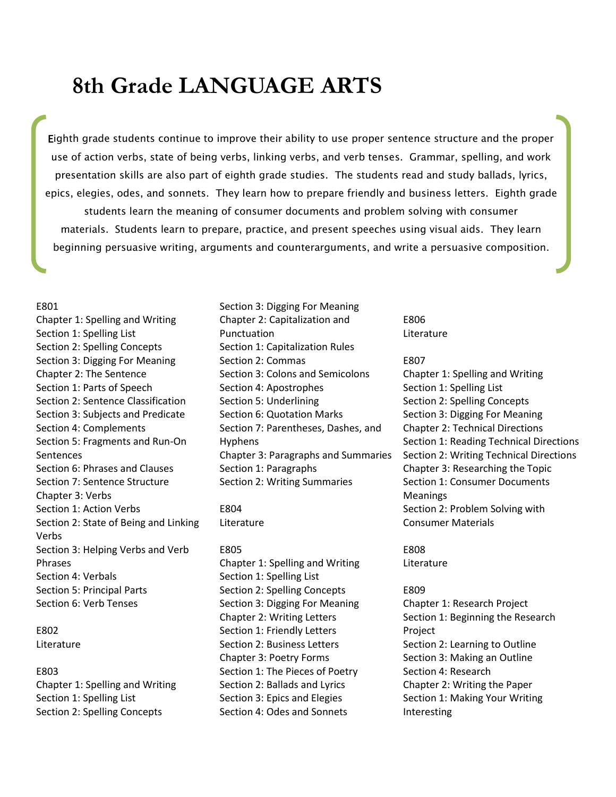# **8th Grade LANGUAGE ARTS**

Eighth grade students continue to improve their ability to use proper sentence structure and the proper use of action verbs, state of being verbs, linking verbs, and verb tenses. Grammar, spelling, and work presentation skills are also part of eighth grade studies. The students read and study ballads, lyrics, epics, elegies, odes, and sonnets. They learn how to prepare friendly and business letters. Eighth grade students learn the meaning of consumer documents and problem solving with consumer materials. Students learn to prepare, practice, and present speeches using visual aids. They learn beginning persuasive writing, arguments and counterarguments, and write a persuasive composition.

#### E801

Chapter 1: Spelling and Writing Section 1: Spelling List Section 2: Spelling Concepts Section 3: Digging For Meaning Chapter 2: The Sentence Section 1: Parts of Speech Section 2: Sentence Classification Section 3: Subjects and Predicate Section 4: Complements Section 5: Fragments and Run-On **Sentences** Section 6: Phrases and Clauses Section 7: Sentence Structure Chapter 3: Verbs Section 1: Action Verbs Section 2: State of Being and Linking Verbs Section 3: Helping Verbs and Verb Phrases Section 4: Verbals Section 5: Principal Parts Section 6: Verb Tenses

E802 Literature

### E803

Chapter 1: Spelling and Writing Section 1: Spelling List Section 2: Spelling Concepts

Section 3: Digging For Meaning Chapter 2: Capitalization and Punctuation Section 1: Capitalization Rules Section 2: Commas Section 3: Colons and Semicolons Section 4: Apostrophes Section 5: Underlining Section 6: Quotation Marks Section 7: Parentheses, Dashes, and Hyphens Chapter 3: Paragraphs and Summaries Section 1: Paragraphs Section 2: Writing Summaries

E804 Literature

#### E805

Chapter 1: Spelling and Writing Section 1: Spelling List Section 2: Spelling Concepts Section 3: Digging For Meaning Chapter 2: Writing Letters Section 1: Friendly Letters Section 2: Business Letters Chapter 3: Poetry Forms Section 1: The Pieces of Poetry Section 2: Ballads and Lyrics Section 3: Epics and Elegies Section 4: Odes and Sonnets

E806 Literature

#### E807

Chapter 1: Spelling and Writing Section 1: Spelling List Section 2: Spelling Concepts Section 3: Digging For Meaning Chapter 2: Technical Directions Section 1: Reading Technical Directions Section 2: Writing Technical Directions Chapter 3: Researching the Topic Section 1: Consumer Documents Meanings Section 2: Problem Solving with Consumer Materials

# E808 Literature

E809

Chapter 1: Research Project Section 1: Beginning the Research Project Section 2: Learning to Outline Section 3: Making an Outline Section 4: Research Chapter 2: Writing the Paper Section 1: Making Your Writing Interesting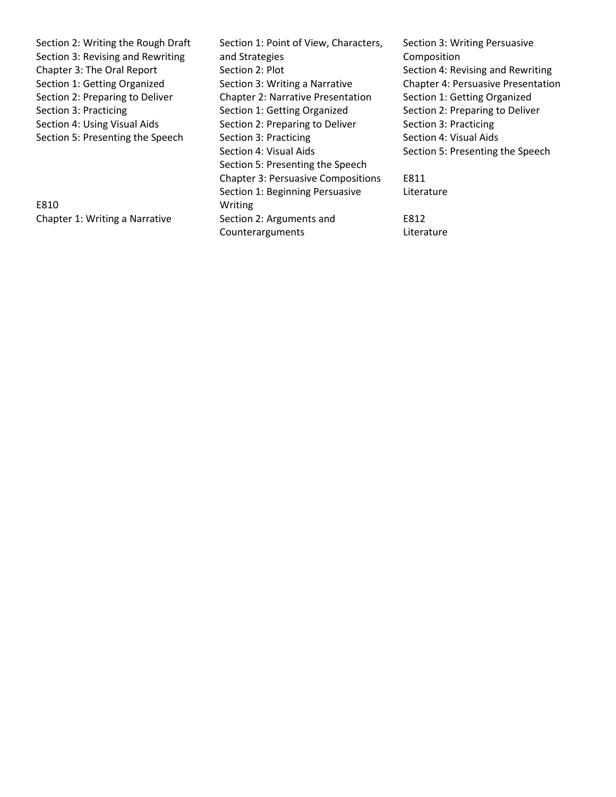Section 2: Writing the Rough Draft Section 3: Revising and Rewriting Chapter 3: The Oral Report Section 1: Getting Organized Section 2: Preparing to Deliver Section 3: Practicing Section 4: Using Visual Aids Section 5: Presenting the Speech E810 Chapter 1: Writing a Narrative Section 1: Point of View, Characters, and Strategies Section 2: Plot Section 3: Writing a Narrative Chapter 2: Narrative Presentation Section 1: Getting Organized Section 2: Preparing to Deliver Section 3: Practicing Section 4: Visual Aids Section 5: Presenting the Speech Chapter 3: Persuasive Compositions Section 1: Beginning Persuasive Writing Section 2: Arguments and Section 3: Writing Persuasive Composition Section 4: Revising and Rewriting Chapter 4: Persuasive Presentation Section 1: Getting Organized Section 2: Preparing to Deliver Section 3: Practicing Section 4: Visual Aids Section 5: Presenting the Speech E811 Literature E812

Literature

Counterarguments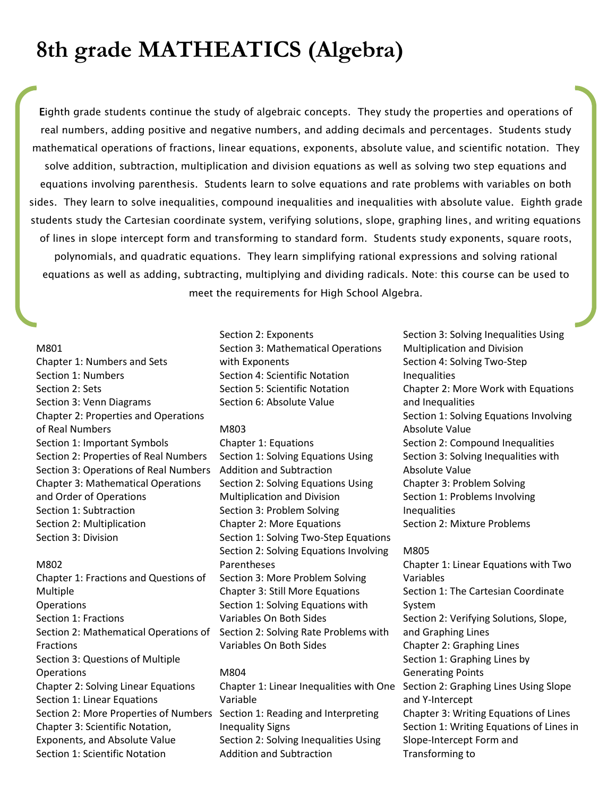# **8th grade MATHEATICS (Algebra)**

Eighth grade students continue the study of algebraic concepts. They study the properties and operations of real numbers, adding positive and negative numbers, and adding decimals and percentages. Students study mathematical operations of fractions, linear equations, exponents, absolute value, and scientific notation. They solve addition, subtraction, multiplication and division equations as well as solving two step equations and equations involving parenthesis. Students learn to solve equations and rate problems with variables on both sides. They learn to solve inequalities, compound inequalities and inequalities with absolute value. Eighth grade students study the Cartesian coordinate system, verifying solutions, slope, graphing lines, and writing equations of lines in slope intercept form and transforming to standard form. Students study exponents, square roots, polynomials, and quadratic equations. They learn simplifying rational expressions and solving rational equations as well as adding, subtracting, multiplying and dividing radicals. Note: this course can be used to meet the requirements for High School Algebra.

# M801

Chapter 1: Numbers and Sets Section 1: Numbers Section 2: Sets Section 3: Venn Diagrams Chapter 2: Properties and Operations of Real Numbers Section 1: Important Symbols Section 2: Properties of Real Numbers Section 3: Operations of Real Numbers Chapter 3: Mathematical Operations and Order of Operations Section 1: Subtraction Section 2: Multiplication Section 3: Division

#### M802

Chapter 1: Fractions and Questions of Multiple Operations Section 1: Fractions Section 2: Mathematical Operations of Fractions Section 3: Questions of Multiple **Operations** Chapter 2: Solving Linear Equations Section 1: Linear Equations Section 2: More Properties of Numbers Section 1: Reading and Interpreting Chapter 3: Scientific Notation, Exponents, and Absolute Value Section 1: Scientific Notation

Section 2: Exponents Section 3: Mathematical Operations with Exponents Section 4: Scientific Notation Section 5: Scientific Notation Section 6: Absolute Value

## M803

Chapter 1: Equations Section 1: Solving Equations Using Addition and Subtraction Section 2: Solving Equations Using Multiplication and Division Section 3: Problem Solving Chapter 2: More Equations Section 1: Solving Two-Step Equations Section 2: Solving Equations Involving Parentheses Section 3: More Problem Solving Chapter 3: Still More Equations Section 1: Solving Equations with Variables On Both Sides Section 2: Solving Rate Problems with Variables On Both Sides

## M804

Chapter 1: Linear Inequalities with One Section 2: Graphing Lines Using Slope Variable Inequality Signs Section 2: Solving Inequalities Using Addition and Subtraction

Section 3: Solving Inequalities Using Multiplication and Division Section 4: Solving Two-Step Inequalities Chapter 2: More Work with Equations and Inequalities Section 1: Solving Equations Involving Absolute Value Section 2: Compound Inequalities Section 3: Solving Inequalities with Absolute Value Chapter 3: Problem Solving Section 1: Problems Involving Inequalities Section 2: Mixture Problems

## M805

Chapter 1: Linear Equations with Two Variables Section 1: The Cartesian Coordinate System Section 2: Verifying Solutions, Slope, and Graphing Lines Chapter 2: Graphing Lines Section 1: Graphing Lines by Generating Points and Y-Intercept Chapter 3: Writing Equations of Lines Section 1: Writing Equations of Lines in Slope-Intercept Form and Transforming to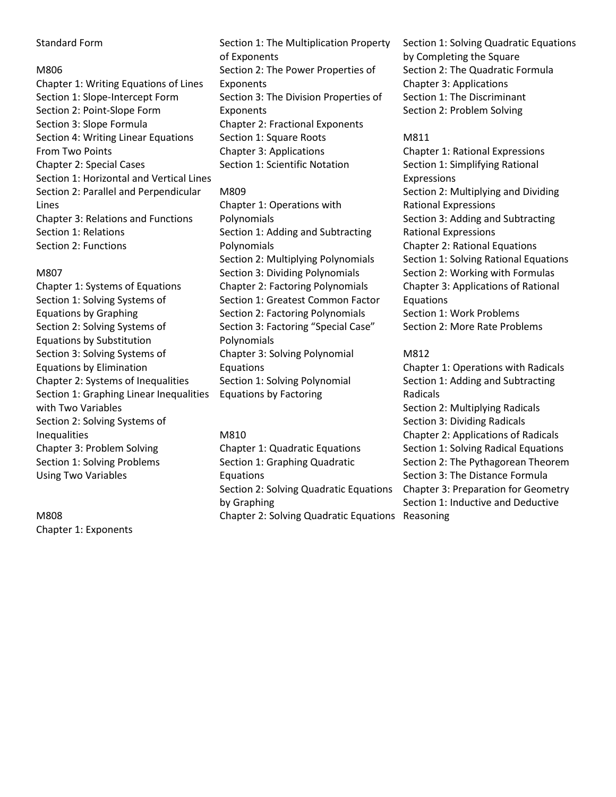# Standard Form

## M806

Chapter 1: Writing Equations of Lines Section 1: Slope-Intercept Form Section 2: Point-Slope Form Section 3: Slope Formula Section 4: Writing Linear Equations From Two Points Chapter 2: Special Cases Section 1: Horizontal and Vertical Lines Section 2: Parallel and Perpendicular Lines Chapter 3: Relations and Functions Section 1: Relations Section 2: Functions

# M807

Chapter 1: Systems of Equations Section 1: Solving Systems of Equations by Graphing Section 2: Solving Systems of Equations by Substitution Section 3: Solving Systems of Equations by Elimination Chapter 2: Systems of Inequalities Section 1: Graphing Linear Inequalities with Two Variables Section 2: Solving Systems of Inequalities Chapter 3: Problem Solving Section 1: Solving Problems Using Two Variables

M808 Chapter 1: Exponents Section 1: The Multiplication Property of Exponents Section 2: The Power Properties of Exponents Section 3: The Division Properties of Exponents Chapter 2: Fractional Exponents Section 1: Square Roots Chapter 3: Applications Section 1: Scientific Notation

# M809

Chapter 1: Operations with Polynomials Section 1: Adding and Subtracting Polynomials Section 2: Multiplying Polynomials Section 3: Dividing Polynomials Chapter 2: Factoring Polynomials Section 1: Greatest Common Factor Section 2: Factoring Polynomials Section 3: Factoring "Special Case" Polynomials Chapter 3: Solving Polynomial Equations Section 1: Solving Polynomial Equations by Factoring

# M810

Chapter 1: Quadratic Equations Section 1: Graphing Quadratic Equations Section 2: Solving Quadratic Equations by Graphing Chapter 2: Solving Quadratic Equations Reasoning

Section 1: Solving Quadratic Equations by Completing the Square Section 2: The Quadratic Formula Chapter 3: Applications Section 1: The Discriminant Section 2: Problem Solving

# M811

Chapter 1: Rational Expressions Section 1: Simplifying Rational Expressions Section 2: Multiplying and Dividing Rational Expressions Section 3: Adding and Subtracting Rational Expressions Chapter 2: Rational Equations Section 1: Solving Rational Equations Section 2: Working with Formulas Chapter 3: Applications of Rational Equations Section 1: Work Problems Section 2: More Rate Problems

# M812

Chapter 1: Operations with Radicals Section 1: Adding and Subtracting Radicals Section 2: Multiplying Radicals Section 3: Dividing Radicals Chapter 2: Applications of Radicals Section 1: Solving Radical Equations Section 2: The Pythagorean Theorem Section 3: The Distance Formula Chapter 3: Preparation for Geometry Section 1: Inductive and Deductive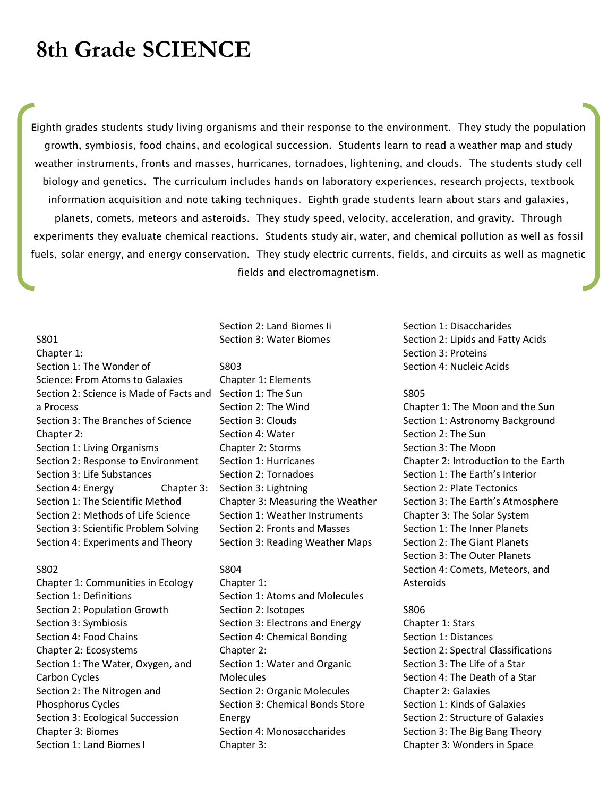# **8th Grade SCIENCE**

Eighth grades students study living organisms and their response to the environment. They study the population growth, symbiosis, food chains, and ecological succession. Students learn to read a weather map and study weather instruments, fronts and masses, hurricanes, tornadoes, lightening, and clouds. The students study cell biology and genetics. The curriculum includes hands on laboratory experiences, research projects, textbook information acquisition and note taking techniques. Eighth grade students learn about stars and galaxies, planets, comets, meteors and asteroids. They study speed, velocity, acceleration, and gravity. Through experiments they evaluate chemical reactions. Students study air, water, and chemical pollution as well as fossil fuels, solar energy, and energy conservation. They study electric currents, fields, and circuits as well as magnetic fields and electromagnetism.

## S801

Chapter 1: Section 1: The Wonder of Science: From Atoms to Galaxies Section 2: Science is Made of Facts and Section 1: The Sun a Process Section 3: The Branches of Science Chapter 2: Section 1: Living Organisms Section 2: Response to Environment Section 3: Life Substances Section 4: Energy Chapter 3: Section 1: The Scientific Method Section 2: Methods of Life Science Section 3: Scientific Problem Solving Section 4: Experiments and Theory

#### S802

Chapter 1: Communities in Ecology Section 1: Definitions Section 2: Population Growth Section 3: Symbiosis Section 4: Food Chains Chapter 2: Ecosystems Section 1: The Water, Oxygen, and Carbon Cycles Section 2: The Nitrogen and Phosphorus Cycles Section 3: Ecological Succession Chapter 3: Biomes Section 1: Land Biomes I

# Section 2: Land Biomes Ii Section 3: Water Biomes

#### S803

Chapter 1: Elements Section 2: The Wind Section 3: Clouds Section 4: Water Chapter 2: Storms Section 1: Hurricanes Section 2: Tornadoes Section 3: Lightning Chapter 3: Measuring the Weather Section 1: Weather Instruments Section 2: Fronts and Masses Section 3: Reading Weather Maps

# S804

Chapter 1: Section 1: Atoms and Molecules Section 2: Isotopes Section 3: Electrons and Energy Section 4: Chemical Bonding Chapter 2: Section 1: Water and Organic Molecules Section 2: Organic Molecules Section 3: Chemical Bonds Store Energy Section 4: Monosaccharides Chapter 3:

Section 1: Disaccharides Section 2: Lipids and Fatty Acids Section 3: Proteins Section 4: Nucleic Acids

#### S805

Chapter 1: The Moon and the Sun Section 1: Astronomy Background Section 2: The Sun Section 3: The Moon Chapter 2: Introduction to the Earth Section 1: The Earth's Interior Section 2: Plate Tectonics Section 3: The Earth's Atmosphere Chapter 3: The Solar System Section 1: The Inner Planets Section 2: The Giant Planets Section 3: The Outer Planets Section 4: Comets, Meteors, and Asteroids

### S806

Chapter 1: Stars Section 1: Distances Section 2: Spectral Classifications Section 3: The Life of a Star Section 4: The Death of a Star Chapter 2: Galaxies Section 1: Kinds of Galaxies Section 2: Structure of Galaxies Section 3: The Big Bang Theory Chapter 3: Wonders in Space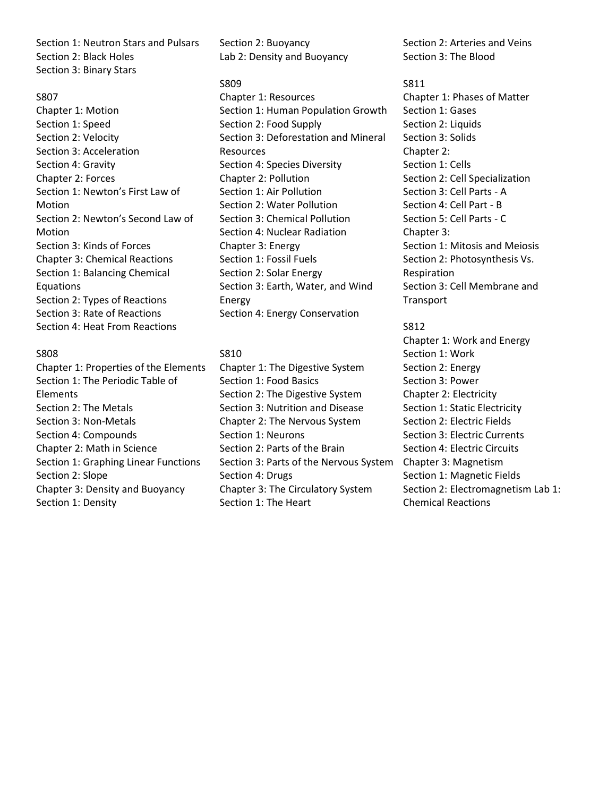Section 1: Neutron Stars and Pulsars Section 2: Black Holes Section 3: Binary Stars

## S807

Chapter 1: Motion Section 1: Speed Section 2: Velocity Section 3: Acceleration Section 4: Gravity Chapter 2: Forces Section 1: Newton's First Law of Motion Section 2: Newton's Second Law of Motion Section 3: Kinds of Forces Chapter 3: Chemical Reactions Section 1: Balancing Chemical Equations Section 2: Types of Reactions Section 3: Rate of Reactions Section 4: Heat From Reactions

# S808

Chapter 1: Properties of the Elements Section 1: The Periodic Table of Elements Section 2: The Metals Section 3: Non-Metals Section 4: Compounds Chapter 2: Math in Science Section 1: Graphing Linear Functions Section 2: Slope Chapter 3: Density and Buoyancy Section 1: Density

Section 2: Buoyancy Lab 2: Density and Buoyancy

## S809

Chapter 1: Resources Section 1: Human Population Growth Section 2: Food Supply Section 3: Deforestation and Mineral Resources Section 4: Species Diversity Chapter 2: Pollution Section 1: Air Pollution Section 2: Water Pollution Section 3: Chemical Pollution Section 4: Nuclear Radiation Chapter 3: Energy Section 1: Fossil Fuels Section 2: Solar Energy Section 3: Earth, Water, and Wind Energy Section 4: Energy Conservation

# S810

Chapter 1: The Digestive System Section 1: Food Basics Section 2: The Digestive System Section 3: Nutrition and Disease Chapter 2: The Nervous System Section 1: Neurons Section 2: Parts of the Brain Section 3: Parts of the Nervous System Section 4: Drugs Chapter 3: The Circulatory System Section 1: The Heart

Section 2: Arteries and Veins Section 3: The Blood

S811 Chapter 1: Phases of Matter Section 1: Gases Section 2: Liquids Section 3: Solids Chapter 2: Section 1: Cells Section 2: Cell Specialization Section 3: Cell Parts - A Section 4: Cell Part - B Section 5: Cell Parts - C Chapter 3: Section 1: Mitosis and Meiosis Section 2: Photosynthesis Vs. Respiration Section 3: Cell Membrane and Transport

S812 Chapter 1: Work and Energy Section 1: Work Section 2: Energy Section 3: Power Chapter 2: Electricity Section 1: Static Electricity Section 2: Electric Fields Section 3: Electric Currents Section 4: Electric Circuits Chapter 3: Magnetism Section 1: Magnetic Fields Section 2: Electromagnetism Lab 1: Chemical Reactions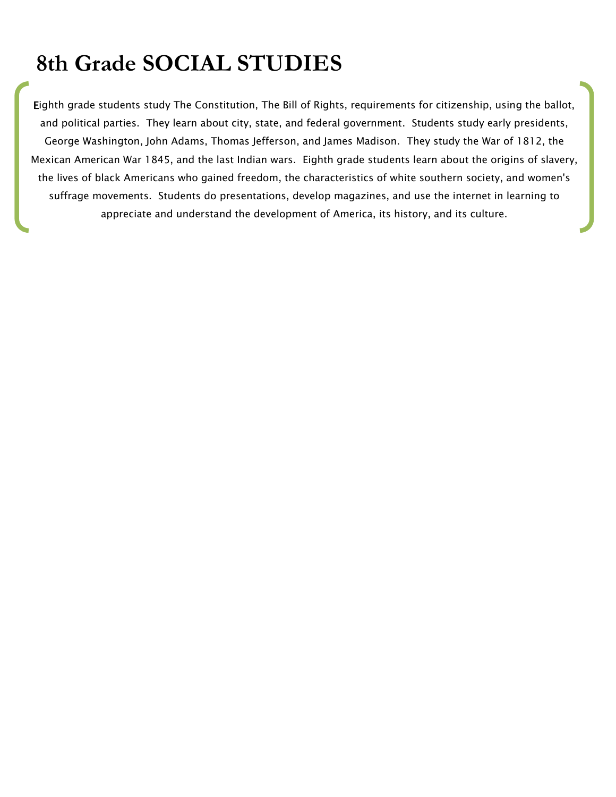# **8th Grade SOCIAL STUDIES**

Eighth grade students study The Constitution, The Bill of Rights, requirements for citizenship, using the ballot, and political parties. They learn about city, state, and federal government. Students study early presidents, George Washington, John Adams, Thomas Jefferson, and James Madison. They study the War of 1812, the Mexican American War 1845, and the last Indian wars. Eighth grade students learn about the origins of slavery, the lives of black Americans who gained freedom, the characteristics of white southern society, and women's suffrage movements. Students do presentations, develop magazines, and use the internet in learning to appreciate and understand the development of America, its history, and its culture.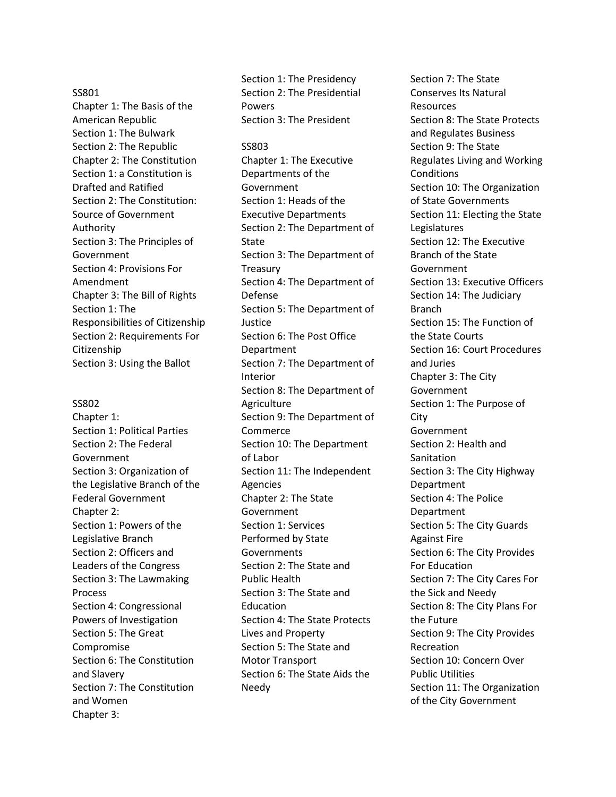### SS801

Chapter 1: The Basis of the American Republic Section 1: The Bulwark Section 2: The Republic Chapter 2: The Constitution Section 1: a Constitution is Drafted and Ratified Section 2: The Constitution: Source of Government Authority Section 3: The Principles of Government Section 4: Provisions For Amendment Chapter 3: The Bill of Rights Section 1: The Responsibilities of Citizenship Section 2: Requirements For Citizenship Section 3: Using the Ballot

#### SS802

Chapter 1: Section 1: Political Parties Section 2: The Federal Government Section 3: Organization of the Legislative Branch of the Federal Government Chapter 2: Section 1: Powers of the Legislative Branch Section 2: Officers and Leaders of the Congress Section 3: The Lawmaking Process Section 4: Congressional Powers of Investigation Section 5: The Great Compromise Section 6: The Constitution and Slavery Section 7: The Constitution and Women Chapter 3:

Section 1: The Presidency Section 2: The Presidential Powers Section 3: The President

#### SS803

Chapter 1: The Executive Departments of the Government Section 1: Heads of the Executive Departments Section 2: The Department of State Section 3: The Department of Treasury Section 4: The Department of Defense Section 5: The Department of Justice Section 6: The Post Office Department Section 7: The Department of Interior Section 8: The Department of Agriculture Section 9: The Department of Commerce Section 10: The Department of Labor Section 11: The Independent Agencies Chapter 2: The State Government Section 1: Services Performed by State **Governments** Section 2: The State and Public Health Section 3: The State and **Education** Section 4: The State Protects Lives and Property Section 5: The State and Motor Transport Section 6: The State Aids the Needy

Section 7: The State Conserves Its Natural Resources Section 8: The State Protects and Regulates Business Section 9: The State Regulates Living and Working Conditions Section 10: The Organization of State Governments Section 11: Electing the State Legislatures Section 12: The Executive Branch of the State Government Section 13: Executive Officers Section 14: The Judiciary Branch Section 15: The Function of the State Courts Section 16: Court Procedures and Juries Chapter 3: The City Government Section 1: The Purpose of **City** Government Section 2: Health and **Sanitation** Section 3: The City Highway Department Section 4: The Police Department Section 5: The City Guards Against Fire Section 6: The City Provides For Education Section 7: The City Cares For the Sick and Needy Section 8: The City Plans For the Future Section 9: The City Provides Recreation Section 10: Concern Over Public Utilities Section 11: The Organization of the City Government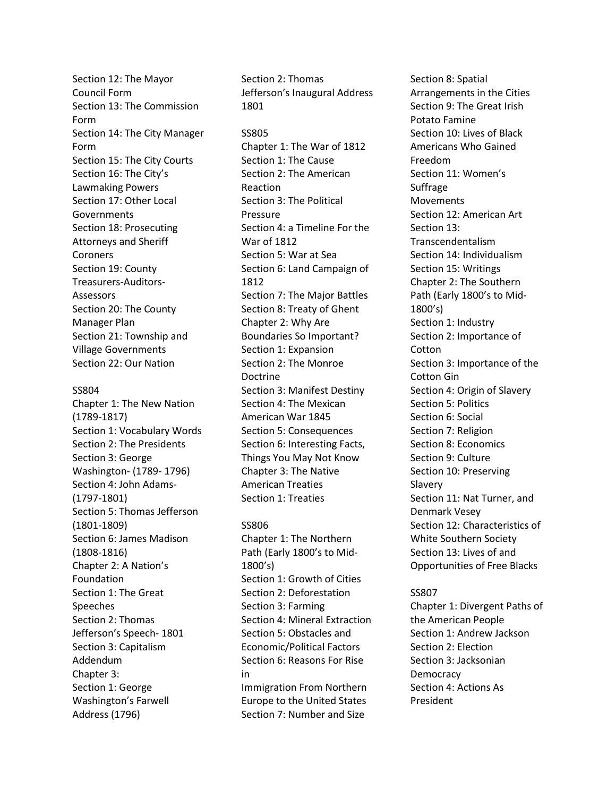Section 12: The Mayor Council Form Section 13: The Commission Form Section 14: The City Manager Form Section 15: The City Courts Section 16: The City's Lawmaking Powers Section 17: Other Local **Governments** Section 18: Prosecuting Attorneys and Sheriff Coroners Section 19: County Treasurers-Auditors-Assessors Section 20: The County Manager Plan Section 21: Township and Village Governments Section 22: Our Nation

## SS804

Chapter 1: The New Nation (1789-1817) Section 1: Vocabulary Words Section 2: The Presidents Section 3: George Washington- (1789- 1796) Section 4: John Adams- (1797-1801) Section 5: Thomas Jefferson (1801-1809) Section 6: James Madison (1808-1816) Chapter 2: A Nation's Foundation Section 1: The Great Speeches Section 2: Thomas Jefferson's Speech- 1801 Section 3: Capitalism Addendum Chapter 3: Section 1: George Washington's Farwell Address (1796)

Section 2: Thomas Jefferson's Inaugural Address 1801

### SS805

Chapter 1: The War of 1812 Section 1: The Cause Section 2: The American Reaction Section 3: The Political Pressure Section 4: a Timeline For the War of 1812 Section 5: War at Sea Section 6: Land Campaign of 1812 Section 7: The Major Battles Section 8: Treaty of Ghent Chapter 2: Why Are Boundaries So Important? Section 1: Expansion Section 2: The Monroe Doctrine Section 3: Manifest Destiny Section 4: The Mexican American War 1845 Section 5: Consequences Section 6: Interesting Facts, Things You May Not Know Chapter 3: The Native American Treaties Section 1: Treaties

## SS806

Chapter 1: The Northern Path (Early 1800's to Mid-1800's) Section 1: Growth of Cities Section 2: Deforestation Section 3: Farming Section 4: Mineral Extraction Section 5: Obstacles and Economic/Political Factors Section 6: Reasons For Rise in Immigration From Northern Europe to the United States Section 7: Number and Size

Section 8: Spatial Arrangements in the Cities Section 9: The Great Irish Potato Famine Section 10: Lives of Black Americans Who Gained Freedom Section 11: Women's Suffrage Movements Section 12: American Art Section 13: Transcendentalism Section 14: Individualism Section 15: Writings Chapter 2: The Southern Path (Early 1800's to Mid-1800's) Section 1: Industry Section 2: Importance of Cotton Section 3: Importance of the Cotton Gin Section 4: Origin of Slavery Section 5: Politics Section 6: Social Section 7: Religion Section 8: Economics Section 9: Culture Section 10: Preserving Slavery Section 11: Nat Turner, and Denmark Vesey Section 12: Characteristics of White Southern Society Section 13: Lives of and Opportunities of Free Blacks

## SS807

Chapter 1: Divergent Paths of the American People Section 1: Andrew Jackson Section 2: Election Section 3: Jacksonian **Democracy** Section 4: Actions As President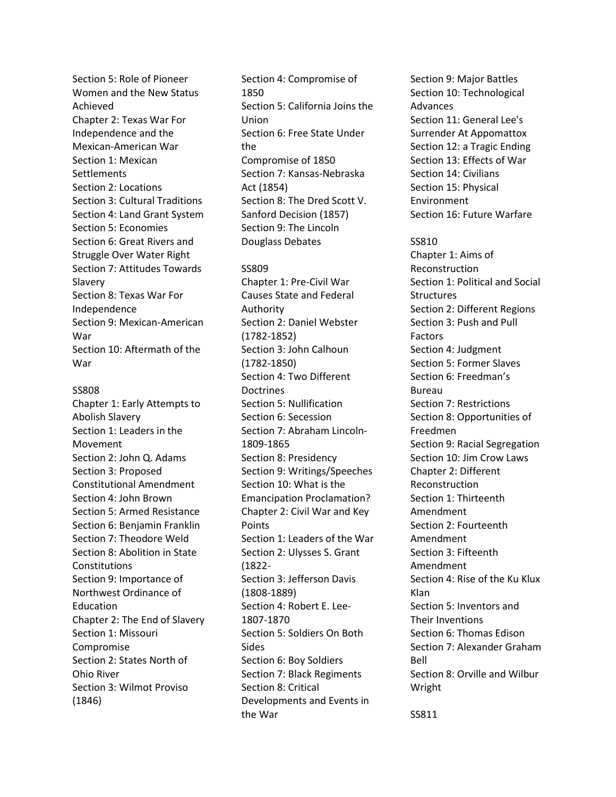Section 5: Role of Pioneer Women and the New Status Achieved Chapter 2: Texas War For Independence and the Mexican-American War Section 1: Mexican **Settlements** Section 2: Locations Section 3: Cultural Traditions Section 4: Land Grant System Section 5: Economies Section 6: Great Rivers and Struggle Over Water Right Section 7: Attitudes Towards Slavery Section 8: Texas War For Independence Section 9: Mexican-American War Section 10: Aftermath of the War

## SS808

Chapter 1: Early Attempts to Abolish Slavery Section 1: Leaders in the Movement Section 2: John Q. Adams Section 3: Proposed Constitutional Amendment Section 4: John Brown Section 5: Armed Resistance Section 6: Benjamin Franklin Section 7: Theodore Weld Section 8: Abolition in State Constitutions Section 9: Importance of Northwest Ordinance of Education Chapter 2: The End of Slavery Section 1: Missouri Compromise Section 2: States North of Ohio River Section 3: Wilmot Proviso (1846)

Section 4: Compromise of 1850 Section 5: California Joins the Union Section 6: Free State Under the Compromise of 1850 Section 7: Kansas-Nebraska Act (1854) Section 8: The Dred Scott V. Sanford Decision (1857) Section 9: The Lincoln Douglass Debates

## SS809

Chapter 1: Pre-Civil War Causes State and Federal Authority Section 2: Daniel Webster (1782-1852) Section 3: John Calhoun (1782-1850) Section 4: Two Different **Doctrines** Section 5: Nullification Section 6: Secession Section 7: Abraham Lincoln-1809-1865 Section 8: Presidency Section 9: Writings/Speeches Section 10: What is the Emancipation Proclamation? Chapter 2: Civil War and Key Points Section 1: Leaders of the War Section 2: Ulysses S. Grant (1822- Section 3: Jefferson Davis (1808-1889) Section 4: Robert E. Lee-1807-1870 Section 5: Soldiers On Both Sides Section 6: Boy Soldiers Section 7: Black Regiments Section 8: Critical Developments and Events in the War

Section 9: Major Battles Section 10: Technological Advances Section 11: General Lee's Surrender At Appomattox Section 12: a Tragic Ending Section 13: Effects of War Section 14: Civilians Section 15: Physical Environment Section 16: Future Warfare

#### SS810

Chapter 1: Aims of Reconstruction Section 1: Political and Social **Structures** Section 2: Different Regions Section 3: Push and Pull Factors Section 4: Judgment Section 5: Former Slaves Section 6: Freedman's Bureau Section 7: Restrictions Section 8: Opportunities of Freedmen Section 9: Racial Segregation Section 10: Jim Crow Laws Chapter 2: Different Reconstruction Section 1: Thirteenth Amendment Section 2: Fourteenth Amendment Section 3: Fifteenth Amendment Section 4: Rise of the Ku Klux Klan Section 5: Inventors and Their Inventions Section 6: Thomas Edison Section 7: Alexander Graham Bell Section 8: Orville and Wilbur Wright

SS811